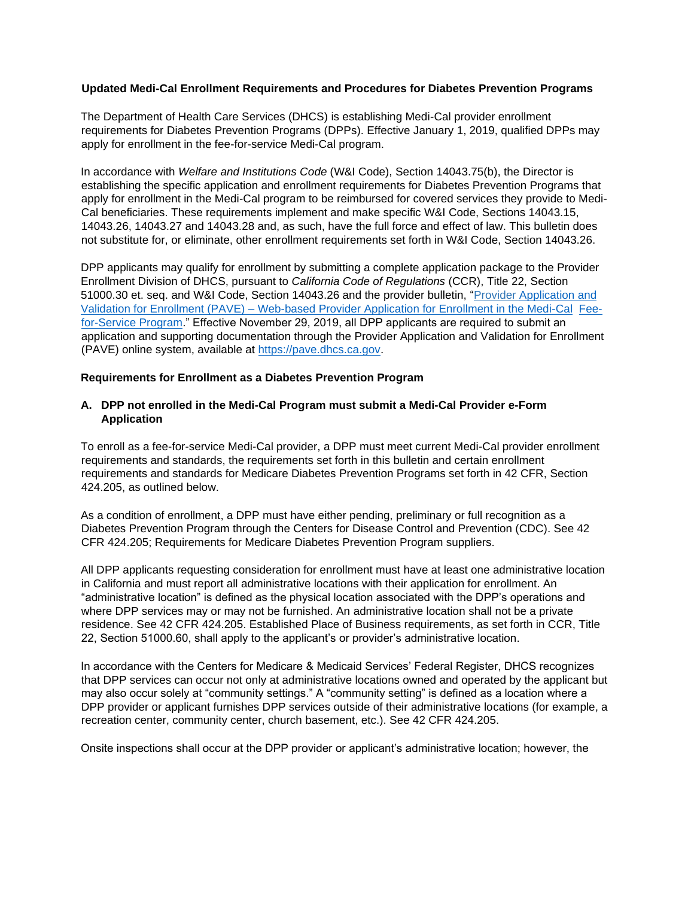## **Updated Medi-Cal Enrollment Requirements and Procedures for Diabetes Prevention Programs**

The Department of Health Care Services (DHCS) is establishing Medi-Cal provider enrollment requirements for Diabetes Prevention Programs (DPPs). Effective January 1, 2019, qualified DPPs may apply for enrollment in the fee-for-service Medi-Cal program.

In accordance with *Welfare and Institutions Code* (W&I Code), Section 14043.75(b), the Director is establishing the specific application and enrollment requirements for Diabetes Prevention Programs that apply for enrollment in the Medi-Cal program to be reimbursed for covered services they provide to Medi-Cal beneficiaries. These requirements implement and make specific W&I Code, Sections 14043.15, 14043.26, 14043.27 and 14043.28 and, as such, have the full force and effect of law. This bulletin does not substitute for, or eliminate, other enrollment requirements set forth in W&I Code, Section 14043.26.

DPP applicants may qualify for enrollment by submitting a complete application package to the Provider Enrollment Division of DHCS, pursuant to *California Code of Regulations* (CCR), Title 22, Section 51000.30 et. seq. and W&I Code, Section 14043.26 and the provider bulletin, ["Provider Application and](http://files.medi-cal.ca.gov/pubsdoco/Publications/masters-other/provappsenroll/PED_PAVE_Announcement_Bulletin_25204.pdf) [Validation for Enrollment \(PAVE\) –](http://files.medi-cal.ca.gov/pubsdoco/Publications/masters-other/provappsenroll/PED_PAVE_Announcement_Bulletin_25204.pdf) [Web-based Provider Application for Enrollment in the Medi-Cal](http://files.medi-cal.ca.gov/pubsdoco/Publications/masters-other/provappsenroll/PED_PAVE_Announcement_Bulletin_25204.pdf) [Fee](http://files.medi-cal.ca.gov/pubsdoco/Publications/masters-other/provappsenroll/PED_PAVE_Announcement_Bulletin_25204.pdf)[for-Service Program."](http://files.medi-cal.ca.gov/pubsdoco/Publications/masters-other/provappsenroll/PED_PAVE_Announcement_Bulletin_25204.pdf) Effective November 29, 2019, all DPP applicants are required to submit an application and supporting documentation through the Provider Application and Validation for Enrollment (PAVE) online system, available at [https://pave.dhcs.ca.gov.](https://pave.dhcs.ca.gov/)

## **Requirements for Enrollment as a Diabetes Prevention Program**

## **A. DPP not enrolled in the Medi-Cal Program must submit a Medi-Cal Provider e-Form Application**

To enroll as a fee-for-service Medi-Cal provider, a DPP must meet current Medi-Cal provider enrollment requirements and standards, the requirements set forth in this bulletin and certain enrollment requirements and standards for Medicare Diabetes Prevention Programs set forth in 42 CFR, Section 424.205, as outlined below.

As a condition of enrollment, a DPP must have either pending, preliminary or full recognition as a Diabetes Prevention Program through the Centers for Disease Control and Prevention (CDC). See 42 CFR 424.205; Requirements for Medicare Diabetes Prevention Program suppliers.

All DPP applicants requesting consideration for enrollment must have at least one administrative location in California and must report all administrative locations with their application for enrollment. An "administrative location" is defined as the physical location associated with the DPP's operations and where DPP services may or may not be furnished. An administrative location shall not be a private residence. See 42 CFR 424.205. Established Place of Business requirements, as set forth in CCR, Title 22, Section 51000.60, shall apply to the applicant's or provider's administrative location.

In accordance with the Centers for Medicare & Medicaid Services' Federal Register, DHCS recognizes that DPP services can occur not only at administrative locations owned and operated by the applicant but may also occur solely at "community settings." A "community setting" is defined as a location where a DPP provider or applicant furnishes DPP services outside of their administrative locations (for example, a recreation center, community center, church basement, etc.). See 42 CFR 424.205.

Onsite inspections shall occur at the DPP provider or applicant's administrative location; however, the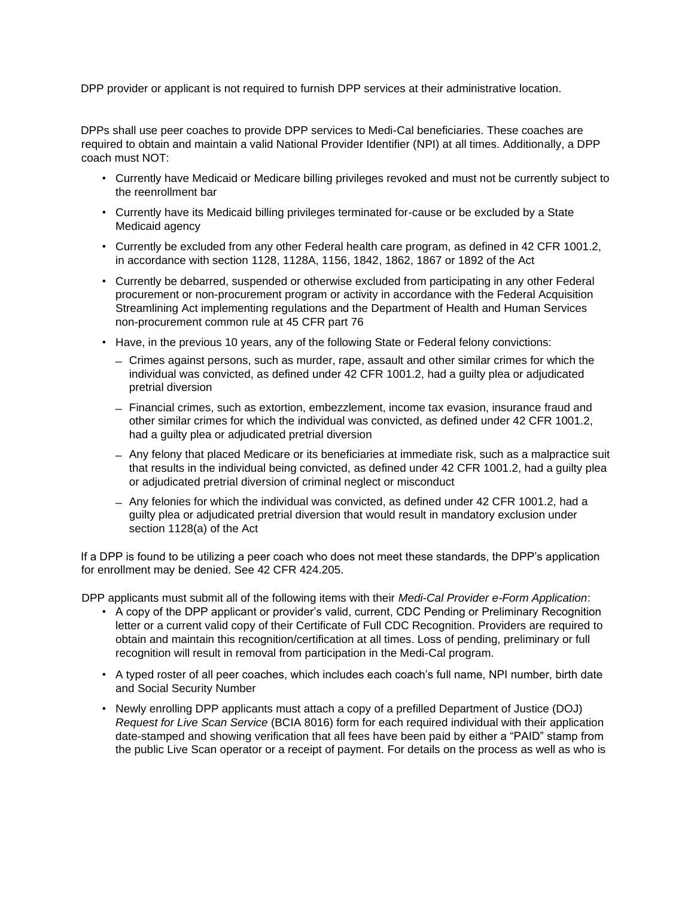DPP provider or applicant is not required to furnish DPP services at their administrative location.

DPPs shall use peer coaches to provide DPP services to Medi-Cal beneficiaries. These coaches are required to obtain and maintain a valid National Provider Identifier (NPI) at all times. Additionally, a DPP coach must NOT:

- Currently have Medicaid or Medicare billing privileges revoked and must not be currently subject to the reenrollment bar
- Currently have its Medicaid billing privileges terminated for-cause or be excluded by a State Medicaid agency
- Currently be excluded from any other Federal health care program, as defined in 42 CFR 1001.2, in accordance with section 1128, 1128A, 1156, 1842, 1862, 1867 or 1892 of the Act
- Currently be debarred, suspended or otherwise excluded from participating in any other Federal procurement or non-procurement program or activity in accordance with the Federal Acquisition Streamlining Act implementing regulations and the Department of Health and Human Services non-procurement common rule at 45 CFR part 76
- Have, in the previous 10 years, any of the following State or Federal felony convictions:
	- ̶ Crimes against persons, such as murder, rape, assault and other similar crimes for which the individual was convicted, as defined under 42 CFR 1001.2, had a guilty plea or adjudicated pretrial diversion
	- ̶ Financial crimes, such as extortion, embezzlement, income tax evasion, insurance fraud and other similar crimes for which the individual was convicted, as defined under 42 CFR 1001.2, had a guilty plea or adjudicated pretrial diversion
	- ̶ Any felony that placed Medicare or its beneficiaries at immediate risk, such as a malpractice suit that results in the individual being convicted, as defined under 42 CFR 1001.2, had a guilty plea or adjudicated pretrial diversion of criminal neglect or misconduct
	- ̶ Any felonies for which the individual was convicted, as defined under 42 CFR 1001.2, had a guilty plea or adjudicated pretrial diversion that would result in mandatory exclusion under section 1128(a) of the Act

If a DPP is found to be utilizing a peer coach who does not meet these standards, the DPP's application for enrollment may be denied. See 42 CFR 424.205.

DPP applicants must submit all of the following items with their *Medi-Cal Provider e-Form Application*:

- A copy of the DPP applicant or provider's valid, current, CDC Pending or Preliminary Recognition letter or a current valid copy of their Certificate of Full CDC Recognition. Providers are required to obtain and maintain this recognition/certification at all times. Loss of pending, preliminary or full recognition will result in removal from participation in the Medi-Cal program.
- A typed roster of all peer coaches, which includes each coach's full name, NPI number, birth date and Social Security Number
- Newly enrolling DPP applicants must attach a copy of a prefilled Department of Justice (DOJ) *Request for Live Scan Service* (BCIA 8016) form for each required individual with their application date-stamped and showing verification that all fees have been paid by either a "PAID" stamp from the public Live Scan operator or a receipt of payment. For details on the process as well as who is